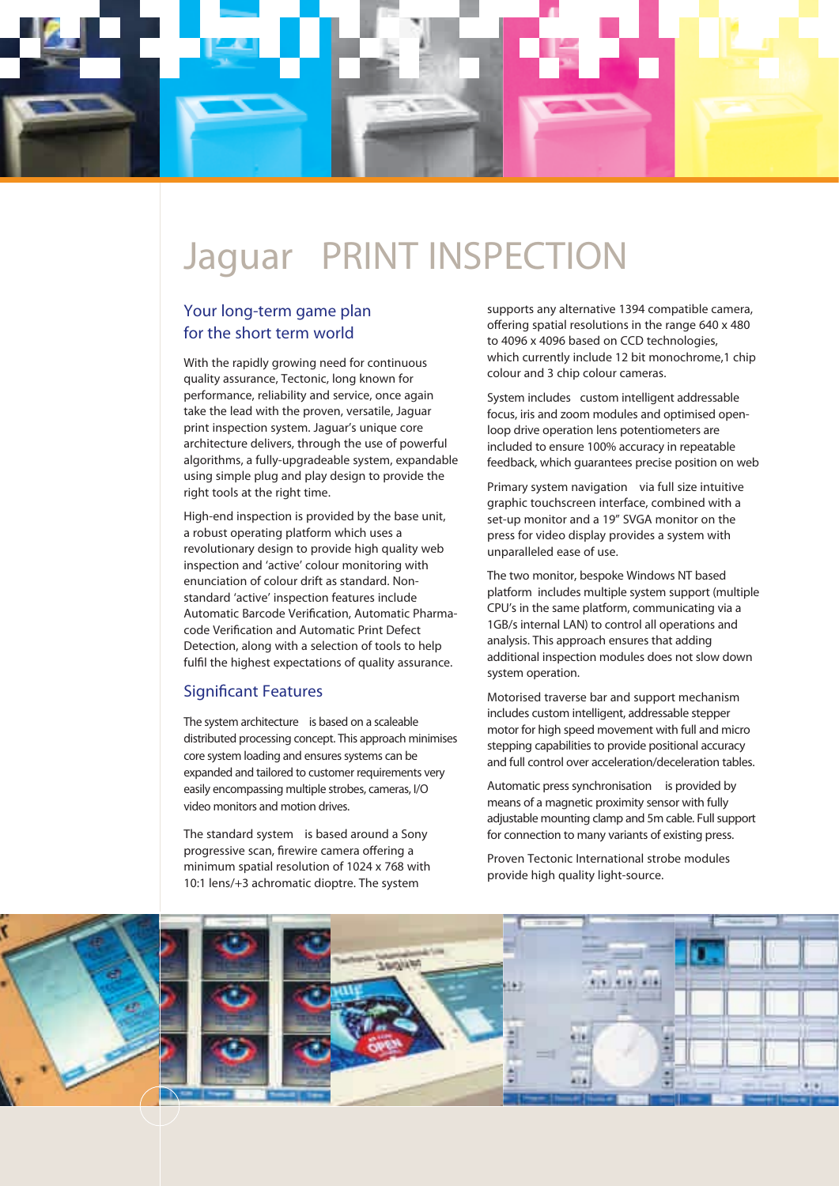

## **Jaguar** PRINT INSPECTION

#### Your long-term game plan for the short term world

With the rapidly growing need for continuous quality assurance, Tectonic, long known for performance, reliability and service, once again take the lead with the proven, versatile, Jaguar print inspection system. Jaguar's unique core architecture delivers, through the use of powerful algorithms, a fully-upgradeable system, expandable using simple plug and play design to provide the right tools at the right time.

High-end inspection is provided by the base unit, a robust operating platform which uses a revolutionary design to provide high quality web inspection and 'active' colour monitoring with enunciation of colour drift as standard. Nonstandard 'active' inspection features include Automatic Barcode Verification, Automatic Pharmacode Verification and Automatic Print Defect Detection, along with a selection of tools to help fulfil the highest expectations of quality assurance.

#### Significant Features

The system architecture is based on a scaleable distributed processing concept. This approach minimises core system loading and ensures systems can be expanded and tailored to customer requirements very easily encompassing multiple strobes, cameras, I/O video monitors and motion drives.

The standard system is based around a Sony progressive scan, firewire camera offering a minimum spatial resolution of 1024 x 768 with 10:1 lens/+3 achromatic dioptre. The system

supports any alternative 1394 compatible camera, offering spatial resolutions in the range 640 x 480 to 4096 x 4096 based on CCD technologies, which currently include 12 bit monochrome,1 chip colour and 3 chip colour cameras.

System includes custom intelligent addressable focus, iris and zoom modules and optimised openloop drive operation lens potentiometers are included to ensure 100% accuracy in repeatable feedback, which guarantees precise position on web

Primary system navigation via full size intuitive graphic touchscreen interface, combined with a set-up monitor and a 19" SVGA monitor on the press for video display provides a system with unparalleled ease of use.

The two monitor, bespoke Windows NT based platform includes multiple system support (multiple CPU's in the same platform, communicating via a 1GB/s internal LAN) to control all operations and analysis. This approach ensures that adding additional inspection modules does not slow down system operation.

Motorised traverse bar and support mechanism includes custom intelligent, addressable stepper motor for high speed movement with full and micro stepping capabilities to provide positional accuracy and full control over acceleration/deceleration tables.

Automatic press synchronisation is provided by means of a magnetic proximity sensor with fully adjustable mounting clamp and 5m cable. Full support for connection to many variants of existing press.

Proven Tectonic International strobe modules provide high quality light-source.